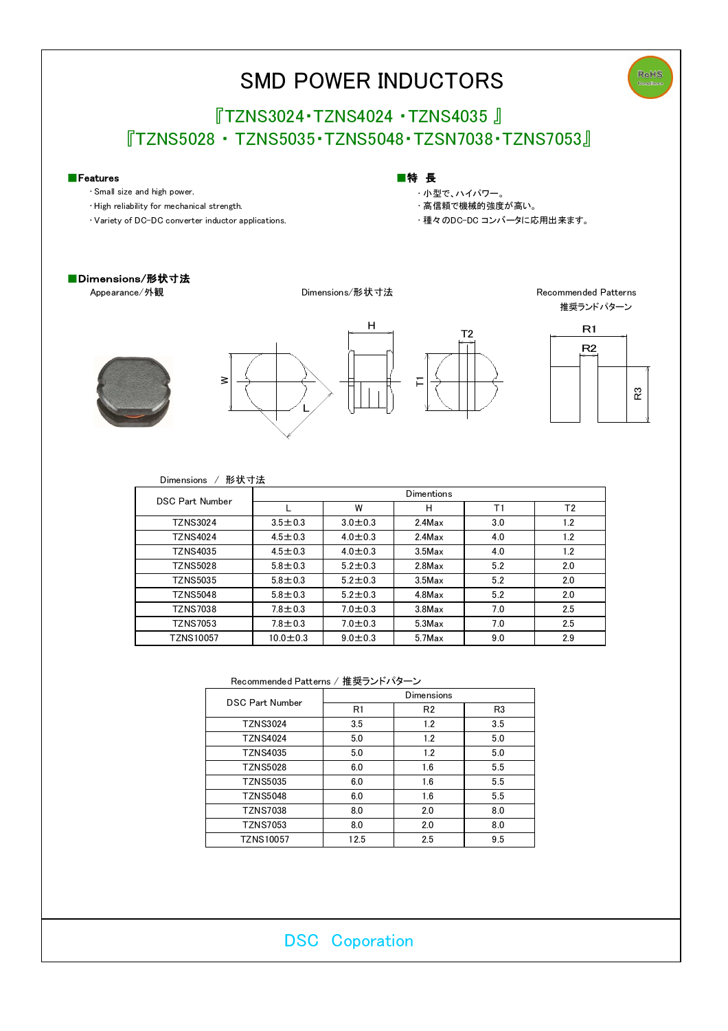

| <b>TZNS10057</b> | v.u | <br>v.v | 7Max | ч<br>ວ.ບ | 2.9 |
|------------------|-----|---------|------|----------|-----|
|                  |     |         |      |          |     |

Recommended Patterns / 推奨ランドパターン

| <b>DSC Part Number</b> | <b>Dimensions</b> |                |                |  |  |
|------------------------|-------------------|----------------|----------------|--|--|
|                        | R1                | R <sub>2</sub> | R <sub>3</sub> |  |  |
| <b>TZNS3024</b>        | 3.5               | 1.2            | 3.5            |  |  |
| <b>TZNS4024</b>        | 5.0               | 1.2            | 5.0            |  |  |
| <b>TZNS4035</b>        | 5.0               | 1.2            | 5.0            |  |  |
| <b>TZNS5028</b>        | 6.0               | 1.6            | 5.5            |  |  |
| <b>TZNS5035</b>        | 6.0               | 1.6            | 5.5            |  |  |
| <b>TZNS5048</b>        | 6.0               | 1.6            | 5.5            |  |  |
| <b>TZNS7038</b>        | 8.0               | 2.0            | 8.0            |  |  |
| <b>TZNS7053</b>        | 8.0               | 2.0            | 8.0            |  |  |
| <b>TZNS10057</b>       | 12.5              | 2.5            | 9.5            |  |  |

 $T2N$ S5035  $\begin{array}{|c|c|c|c|c|c|} \hline 5.8 \pm 0.3 & 5.2 \pm 0.3 & 3.5 \text{Max} & 5.2 & 5.2 \ \hline \end{array}$  2.0

TZNS5048 5.8±0.3 5.2±0.3 4.8Max 5.2 2.0

TZNS7053 7.8±0.3 7.0±0.3 5.3Max 7.0 2.5 TZNS7038 7.8±0.3 7.0±0.3 3.8Max 7.0 2.5

DSC Coporation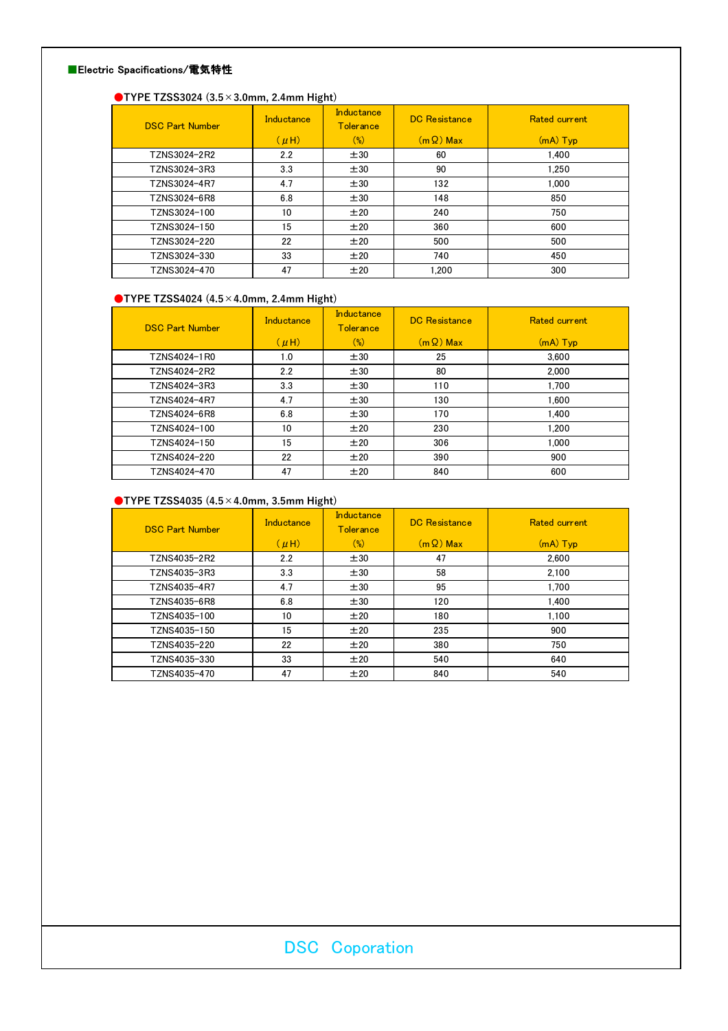### ■Electric Spacifications/電気特性

# ●TYPE TZSS3024 (3.5×3.0mm, 2.4mm Hight)

| <b>DSC Part Number</b> | Inductance | Inductance<br><b>Tolerance</b> | <b>DC</b> Resistance | <b>Rated current</b> |
|------------------------|------------|--------------------------------|----------------------|----------------------|
|                        | $(\mu H)$  | $(\%)$                         | $(m \Omega)$ Max     | $(mA)$ Typ           |
| TZNS3024-2R2           | 2.2        | ±30                            | 60                   | 1.400                |
| TZNS3024-3R3           | 3.3        | ±30                            | 90                   | 1.250                |
| TZNS3024-4R7           | 4.7        | ±30                            | 132                  | 1.000                |
| TZNS3024-6R8           | 6.8        | ±30                            | 148                  | 850                  |
| TZNS3024-100           | 10         | ±20                            | 240                  | 750                  |
| TZNS3024-150           | 15         | ±20                            | 360                  | 600                  |
| TZNS3024-220           | 22         | ±20                            | 500                  | 500                  |
| TZNS3024-330           | 33         | ±20                            | 740                  | 450                  |
| TZNS3024-470           | 47         | ±20                            | 1.200                | 300                  |

## ●TYPE TZSS4024 (4.5×4.0mm, 2.4mm Hight)

| <b>DSC Part Number</b> | Inductance       | Inductance<br><b>Tolerance</b> | <b>DC</b> Resistance | <b>Rated current</b> |
|------------------------|------------------|--------------------------------|----------------------|----------------------|
|                        | $(\mu H)$        | $(\%)$                         | $(m \Omega)$ Max     | $(mA)$ Typ           |
| TZNS4024-1R0           | 1.0              | ±30                            | 25                   | 3.600                |
| TZNS4024-2R2           | $2.2\phantom{0}$ | ±30                            | 80                   | 2.000                |
| TZNS4024-3R3           | 3.3              | ±30                            | 110                  | 1.700                |
| TZNS4024-4R7           | 4.7              | ±30                            | 130                  | 1.600                |
| TZNS4024-6R8           | 6.8              | ±30                            | 170                  | 1.400                |
| TZNS4024-100           | 10               | ±20                            | 230                  | 1.200                |
| TZNS4024-150           | 15               | ±20                            | 306                  | 1.000                |
| TZNS4024-220           | 22               | ±20                            | 390                  | 900                  |
| TZNS4024-470           | 47               | ±20                            | 840                  | 600                  |

### ●TYPE TZSS4035 (4.5×4.0mm, 3.5mm Hight)

| <b>DSC Part Number</b> | Inductance | Inductance<br><b>Tolerance</b> | <b>DC</b> Resistance | <b>Rated current</b> |
|------------------------|------------|--------------------------------|----------------------|----------------------|
|                        | $(\mu H)$  | $(\%)$                         | $(m \Omega)$ Max     | $(mA)$ Typ           |
| TZNS4035-2R2           | 2.2        | ±30                            | 47                   | 2.600                |
| TZNS4035-3R3           | 3.3        | ±30                            | 58                   | 2.100                |
| TZNS4035-4R7           | 4.7        | ±30                            | 95                   | 1.700                |
| TZNS4035-6R8           | 6.8        | ±30                            | 120                  | 1.400                |
| TZNS4035-100           | 10         | ±20                            | 180                  | 1.100                |
| TZNS4035-150           | 15         | ±20                            | 235                  | 900                  |
| TZNS4035-220           | 22         | ±20                            | 380                  | 750                  |
| TZNS4035-330           | 33         | ±20                            | 540                  | 640                  |
| TZNS4035-470           | 47         | ±20                            | 840                  | 540                  |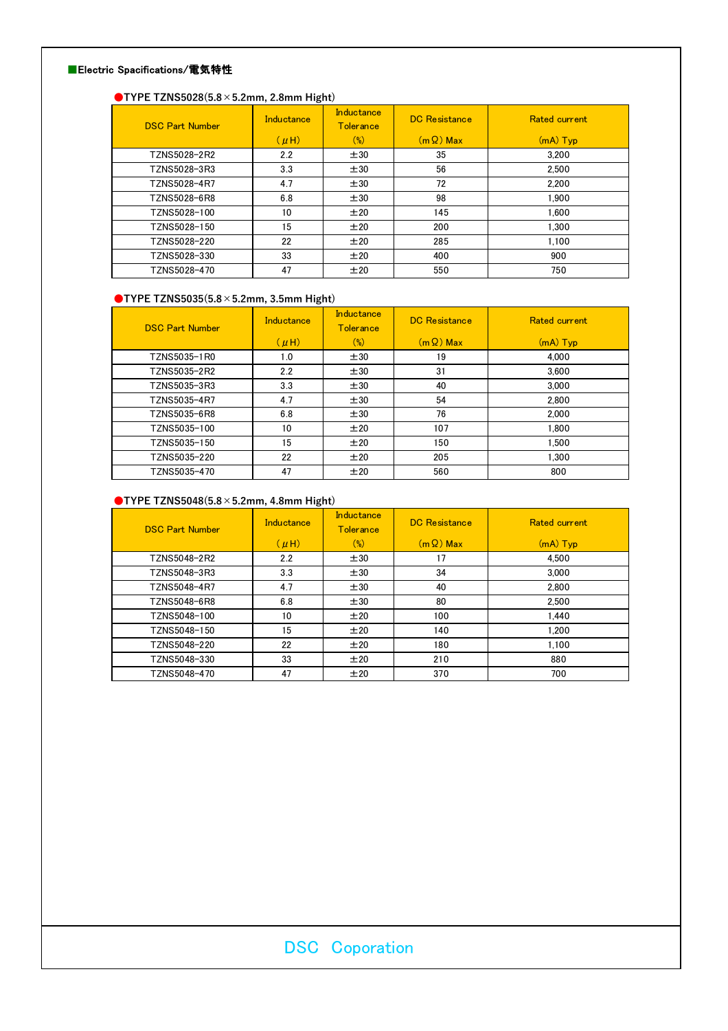### ■Electric Spacifications/電気特性

### ●TYPE TZNS5028(5.8×5.2mm, 2.8mm Hight)

| <b>DSC Part Number</b> | Inductance | Inductance<br><b>Tolerance</b> | <b>DC</b> Resistance | <b>Rated current</b> |
|------------------------|------------|--------------------------------|----------------------|----------------------|
|                        | $(\mu H)$  | $(\%)$                         | $(m \Omega)$ Max     | $(mA)$ Typ           |
| TZNS5028-2R2           | 2.2        | ±30                            | 35                   | 3.200                |
| TZNS5028-3R3           | 3.3        | ±30                            | 56                   | 2.500                |
| TZNS5028-4R7           | 4.7        | ±30                            | 72                   | 2.200                |
| TZNS5028-6R8           | 6.8        | ±30                            | 98                   | 1.900                |
| TZNS5028-100           | 10         | ±20                            | 145                  | 1.600                |
| TZNS5028-150           | 15         | ±20                            | 200                  | 1.300                |
| TZNS5028-220           | 22         | ±20                            | 285                  | 1.100                |
| TZNS5028-330           | 33         | ±20                            | 400                  | 900                  |
| TZNS5028-470           | 47         | ±20                            | 550                  | 750                  |

## ●TYPE TZNS5035(5.8×5.2mm, 3.5mm Hight)

| <b>DSC Part Number</b> | Inductance | Inductance<br><b>Tolerance</b> | DC Resistance    | <b>Rated current</b> |
|------------------------|------------|--------------------------------|------------------|----------------------|
|                        | $(\mu H)$  | $(\%)$                         | $(m \Omega)$ Max | $(mA)$ Typ           |
| TZNS5035-1R0           | 1.0        | ±30                            | 19               | 4.000                |
| TZNS5035-2R2           | 2.2        | ±30                            | 31               | 3.600                |
| TZNS5035-3R3           | 3.3        | ±30                            | 40               | 3.000                |
| TZNS5035-4R7           | 4.7        | ±30                            | 54               | 2.800                |
| TZNS5035-6R8           | 6.8        | ±30                            | 76               | 2.000                |
| TZNS5035-100           | 10         | ±20                            | 107              | 1.800                |
| TZNS5035-150           | 15         | ±20                            | 150              | 1.500                |
| TZNS5035-220           | 22         | ±20                            | 205              | 1.300                |
| TZNS5035-470           | 47         | ±20                            | 560              | 800                  |

### $\bigcirc$ TYPE TZNS5048(5.8 × 5.2mm, 4.8mm Hight)

| <b>DSC Part Number</b> | Inductance | <b>Inductance</b><br><b>Tolerance</b> | DC Resistance    | <b>Rated current</b> |
|------------------------|------------|---------------------------------------|------------------|----------------------|
|                        | $(\mu H)$  | $(\%)$                                | $(m \Omega)$ Max | $(mA)$ Typ           |
| TZNS5048-2R2           | 2.2        | ±30                                   | 17               | 4.500                |
| TZNS5048-3R3           | 3.3        | ±30                                   | 34               | 3.000                |
| TZNS5048-4R7           | 4.7        | ±30                                   | 40               | 2.800                |
| TZNS5048-6R8           | 6.8        | ±30                                   | 80               | 2.500                |
| TZNS5048-100           | 10         | ±20                                   | 100              | 1.440                |
| TZNS5048-150           | 15         | ±20                                   | 140              | 1.200                |
| TZNS5048-220           | 22         | ±20                                   | 180              | 1.100                |
| TZNS5048-330           | 33         | ±20                                   | 210              | 880                  |
| TZNS5048-470           | 47         | ±20                                   | 370              | 700                  |